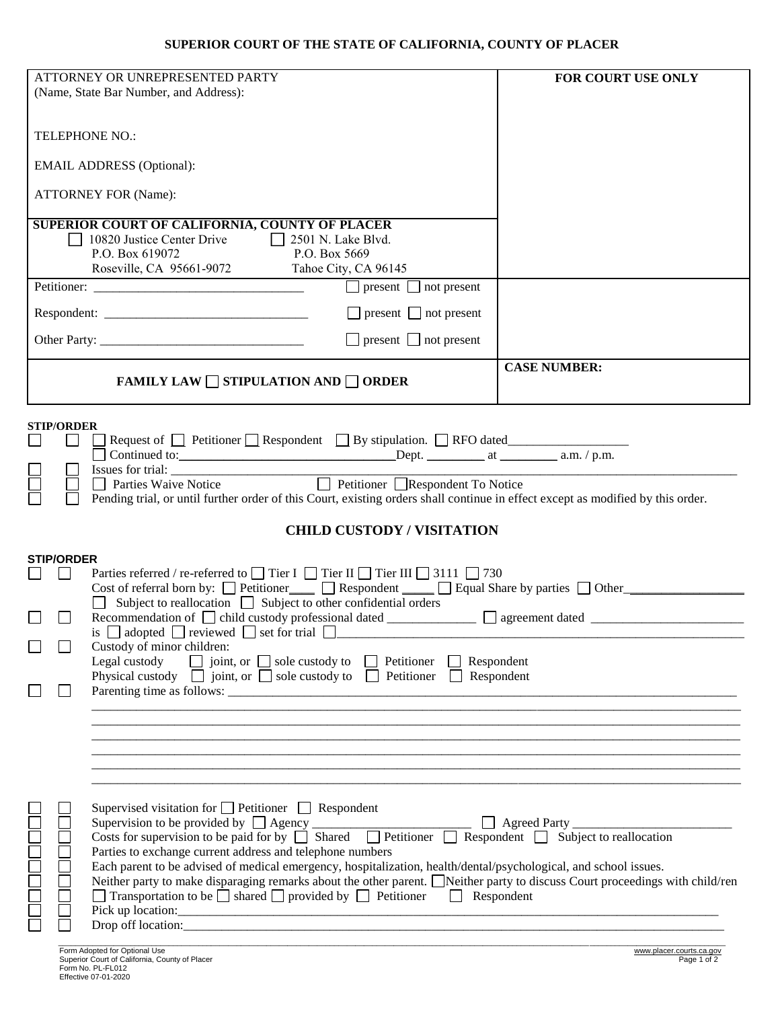| ATTORNEY OR UNREPRESENTED PARTY<br>(Name, State Bar Number, and Address):                                                                                                                                                                       | FOR COURT USE ONLY                                                                                                              |
|-------------------------------------------------------------------------------------------------------------------------------------------------------------------------------------------------------------------------------------------------|---------------------------------------------------------------------------------------------------------------------------------|
|                                                                                                                                                                                                                                                 |                                                                                                                                 |
| TELEPHONE NO.:                                                                                                                                                                                                                                  |                                                                                                                                 |
| <b>EMAIL ADDRESS (Optional):</b>                                                                                                                                                                                                                |                                                                                                                                 |
| <b>ATTORNEY FOR (Name):</b>                                                                                                                                                                                                                     |                                                                                                                                 |
| <b>SUPERIOR COURT OF CALIFORNIA, COUNTY OF PLACER</b>                                                                                                                                                                                           |                                                                                                                                 |
| 10820 Justice Center Drive<br>$\Box$ 2501 N. Lake Blvd.<br>P.O. Box 619072<br>P.O. Box 5669                                                                                                                                                     |                                                                                                                                 |
| Roseville, CA 95661-9072 Tahoe City, CA 96145                                                                                                                                                                                                   |                                                                                                                                 |
|                                                                                                                                                                                                                                                 | $\boxed{\phantom{1}}$ present $\boxed{\phantom{1}}$ not present                                                                 |
|                                                                                                                                                                                                                                                 | $\Box$ present $\Box$ not present                                                                                               |
| Other Party:                                                                                                                                                                                                                                    | $\Box$ present $\Box$ not present                                                                                               |
|                                                                                                                                                                                                                                                 | <b>CASE NUMBER:</b>                                                                                                             |
| FAMILY LAW $\Box$ STIPULATION AND $\Box$ ORDER                                                                                                                                                                                                  |                                                                                                                                 |
| <b>STIP/ORDER</b>                                                                                                                                                                                                                               |                                                                                                                                 |
| □ Request of □ Petitioner □ Respondent □ By stipulation. □ RFO dated                                                                                                                                                                            |                                                                                                                                 |
| $\mathsf{L}$                                                                                                                                                                                                                                    |                                                                                                                                 |
| Petitioner Respondent To Notice<br><b>Parties Waive Notice</b>                                                                                                                                                                                  |                                                                                                                                 |
|                                                                                                                                                                                                                                                 | Pending trial, or until further order of this Court, existing orders shall continue in effect except as modified by this order. |
|                                                                                                                                                                                                                                                 | <b>CHILD CUSTODY / VISITATION</b>                                                                                               |
| <b>STIP/ORDER</b>                                                                                                                                                                                                                               |                                                                                                                                 |
| Parties referred / re-referred to $\Box$ Tier I $\Box$ Tier II $\Box$ 3111 $\Box$ 730                                                                                                                                                           |                                                                                                                                 |
| $\Box$ Subject to reallocation $\Box$ Subject to other confidential orders                                                                                                                                                                      | Cost of referral born by: $\Box$ Petitioner $\Box$ Respondent $\Box$ Equal Share by parties $\Box$ Other                        |
|                                                                                                                                                                                                                                                 | Recommendation of $\Box$ child custody professional dated $\Box$ agreement dated $\Box$                                         |
| is $\Box$ adopted $\Box$ reviewed $\Box$ set for trial $\Box$                                                                                                                                                                                   |                                                                                                                                 |
| Custody of minor children:<br>Legal custody $\Box$ joint, or $\Box$ sole custody to                                                                                                                                                             | $\Box$ Petitioner<br>Respondent<br>$\mathbf{1}$                                                                                 |
| Physical custody $\Box$ joint, or $\Box$ sole custody to $\Box$ Petitioner                                                                                                                                                                      | Respondent<br>$\mathbf{I}$                                                                                                      |
|                                                                                                                                                                                                                                                 |                                                                                                                                 |
|                                                                                                                                                                                                                                                 |                                                                                                                                 |
|                                                                                                                                                                                                                                                 |                                                                                                                                 |
|                                                                                                                                                                                                                                                 |                                                                                                                                 |
|                                                                                                                                                                                                                                                 |                                                                                                                                 |
| Supervised visitation for $\Box$ Petitioner $\Box$ Respondent                                                                                                                                                                                   |                                                                                                                                 |
|                                                                                                                                                                                                                                                 |                                                                                                                                 |
| Supervision to be provided by $\Box$ Agency $\Box$ Shared $\Box$ Petitioner $\Box$ Respondent $\Box$ Subject to reallocation Costs for supervision to be paid for by $\Box$ Shared $\Box$ Petitioner $\Box$ Respondent $\Box$ Subject to reallo |                                                                                                                                 |
| Parties to exchange current address and telephone numbers                                                                                                                                                                                       |                                                                                                                                 |
| Each parent to be advised of medical emergency, hospitalization, health/dental/psychological, and school issues.                                                                                                                                | Neither party to make disparaging remarks about the other parent. Neither party to discuss Court proceedings with child/ren     |
| 7000000<br>$\Box$ Transportation to be $\Box$ shared $\Box$ provided by $\Box$ Petitioner $\Box$ Respondent                                                                                                                                     |                                                                                                                                 |
|                                                                                                                                                                                                                                                 |                                                                                                                                 |
|                                                                                                                                                                                                                                                 |                                                                                                                                 |